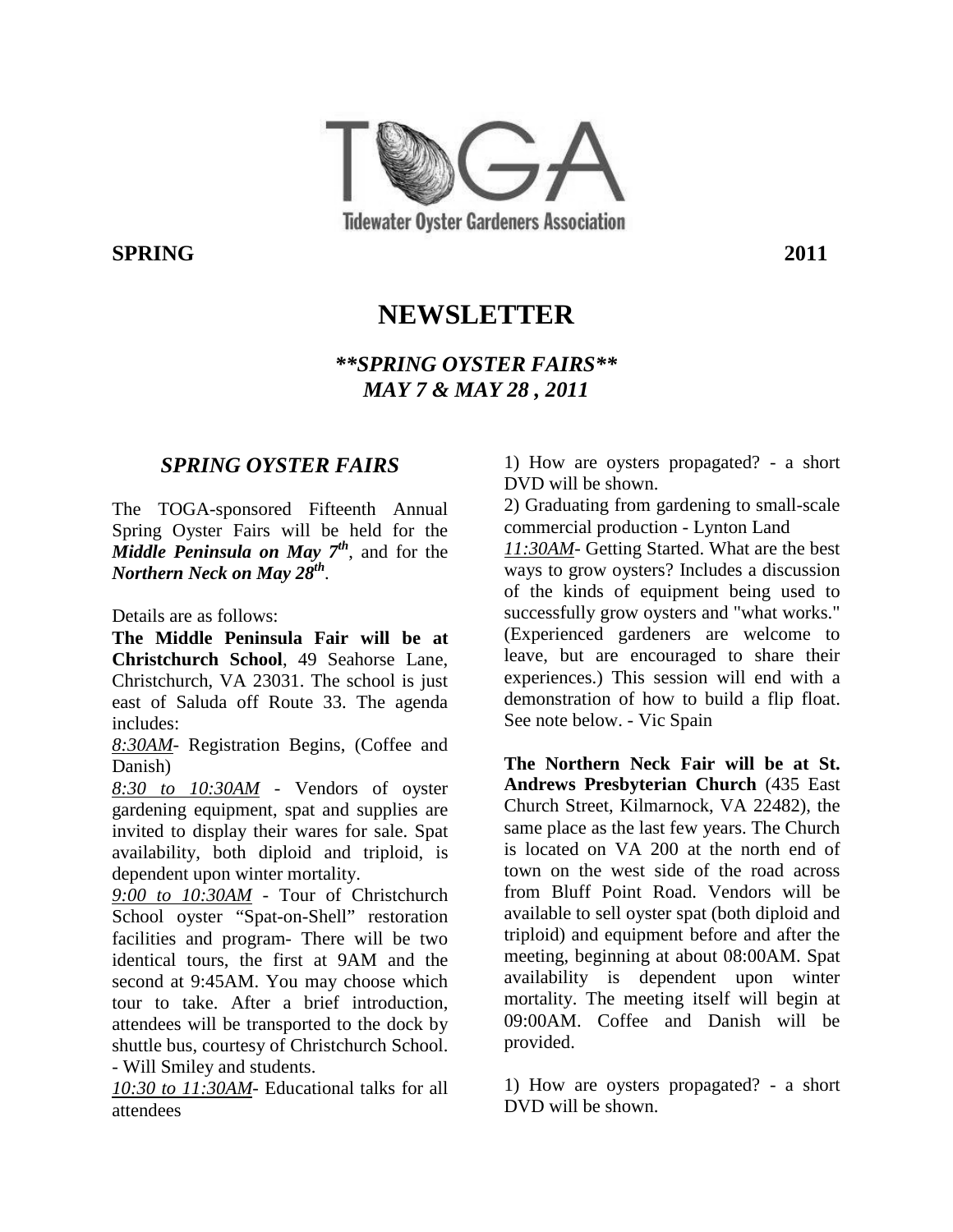

**SPRING** 2011

# **NEWSLETTER**

#### *\*\*SPRING OYSTER FAIRS\*\* MAY 7 & MAY 28 , 2011*

#### *SPRING OYSTER FAIRS*

The TOGA-sponsored Fifteenth Annual Spring Oyster Fairs will be held for the *Middle Peninsula on May 7th*, and for the *Northern Neck on May 28th* .

Details are as follows:

**The Middle Peninsula Fair will be at Christchurch School**, 49 Seahorse Lane, Christchurch, VA 23031. The school is just east of Saluda off Route 33. The agenda includes:

*8:30AM*- Registration Begins, (Coffee and Danish)

*8:30 to 10:30AM* - Vendors of oyster gardening equipment, spat and supplies are invited to display their wares for sale. Spat availability, both diploid and triploid, is dependent upon winter mortality.

*9:00 to 10:30AM* - Tour of Christchurch School oyster "Spat-on-Shell" restoration facilities and program- There will be two identical tours, the first at 9AM and the second at 9:45AM. You may choose which tour to take. After a brief introduction, attendees will be transported to the dock by shuttle bus, courtesy of Christchurch School. - Will Smiley and students.

*10:30 to 11:30AM*- Educational talks for all attendees

1) How are oysters propagated? - a short DVD will be shown.

2) Graduating from gardening to small-scale commercial production - Lynton Land

*11:30AM*- Getting Started. What are the best ways to grow oysters? Includes a discussion of the kinds of equipment being used to successfully grow oysters and "what works." (Experienced gardeners are welcome to leave, but are encouraged to share their experiences.) This session will end with a demonstration of how to build a flip float. See note below. - Vic Spain

**The Northern Neck Fair will be at St. Andrews Presbyterian Church** (435 East Church Street, Kilmarnock, VA 22482), the same place as the last few years. The Church is located on VA 200 at the north end of town on the west side of the road across from Bluff Point Road. Vendors will be available to sell oyster spat (both diploid and triploid) and equipment before and after the meeting, beginning at about 08:00AM. Spat availability is dependent upon winter mortality. The meeting itself will begin at 09:00AM. Coffee and Danish will be provided.

1) How are oysters propagated? - a short DVD will be shown.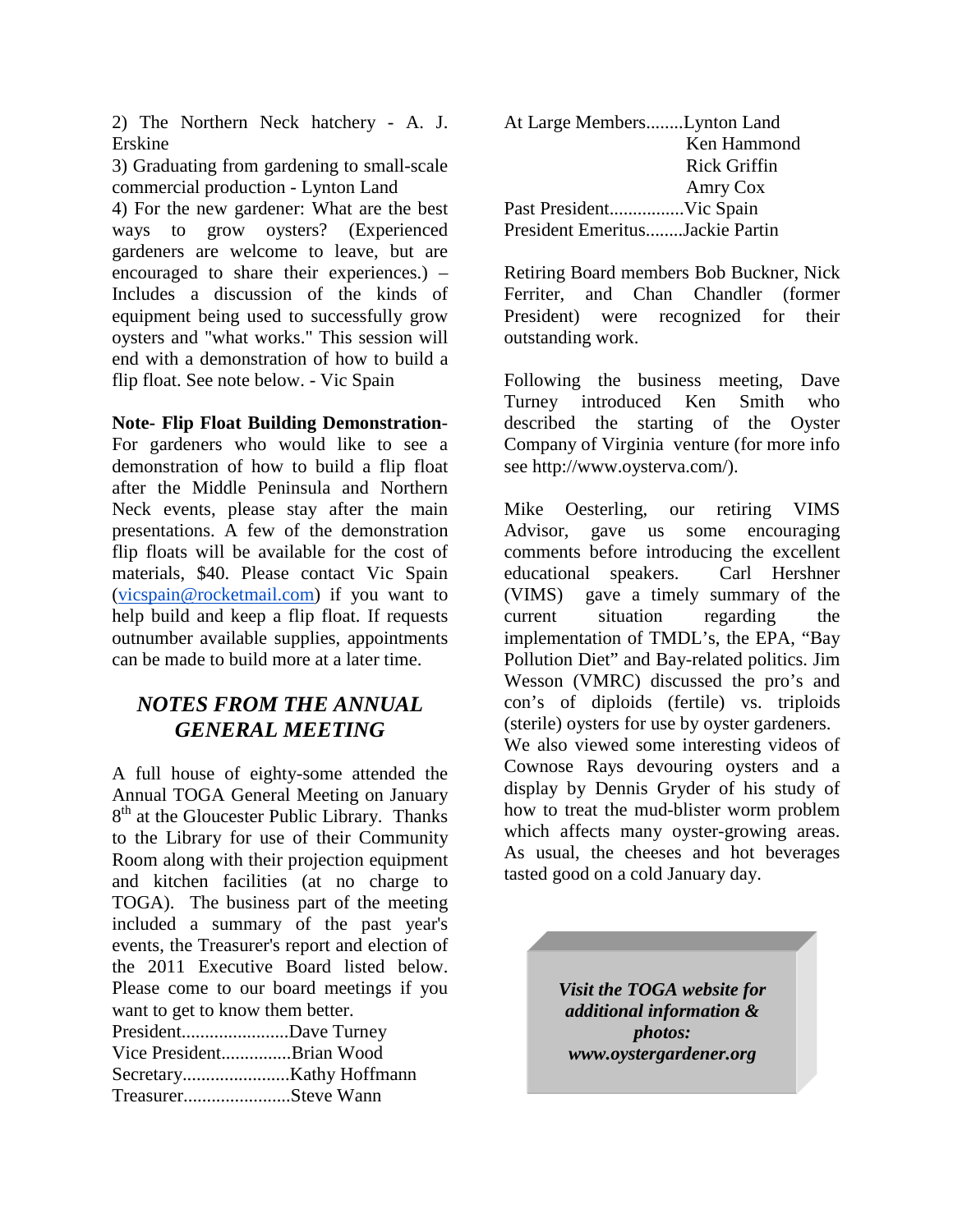2) The Northern Neck hatchery - A. J. Erskine

3) Graduating from gardening to small-scale commercial production - Lynton Land

4) For the new gardener: What are the best ways to grow oysters? (Experienced gardeners are welcome to leave, but are encouraged to share their experiences.) – Includes a discussion of the kinds of equipment being used to successfully grow oysters and "what works." This session will end with a demonstration of how to build a flip float. See note below. - Vic Spain

#### **Note- Flip Float Building Demonstration**-

For gardeners who would like to see a demonstration of how to build a flip float after the Middle Peninsula and Northern Neck events, please stay after the main presentations. A few of the demonstration flip floats will be available for the cost of materials, \$40. Please contact Vic Spain (vicspain@rocketmail.com) if you want to help build and keep a flip float. If requests outnumber available supplies, appointments can be made to build more at a later time.

#### *NOTES FROM THE ANNUAL GENERAL MEETING*

A full house of eighty-some attended the Annual TOGA General Meeting on January 8<sup>th</sup> at the Gloucester Public Library. Thanks to the Library for use of their Community Room along with their projection equipment and kitchen facilities (at no charge to TOGA). The business part of the meeting included a summary of the past year's events, the Treasurer's report and election of the 2011 Executive Board listed below. Please come to our board meetings if you want to get to know them better. President.......................Dave Turney

| Vice PresidentBrian Wood |  |
|--------------------------|--|
|                          |  |
| TreasurerSteve Wann      |  |

| At Large MembersLynton Land     |              |
|---------------------------------|--------------|
|                                 | Ken Hammond  |
|                                 | Rick Griffin |
|                                 | Amry Cox     |
|                                 |              |
| President EmeritusJackie Partin |              |

Retiring Board members Bob Buckner, Nick Ferriter, and Chan Chandler (former President) were recognized for their outstanding work.

Following the business meeting, Dave Turney introduced Ken Smith who described the starting of the Oyster Company of Virginia venture (for more info see http://www.oysterva.com/).

Mike Oesterling, our retiring VIMS Advisor, gave us some encouraging comments before introducing the excellent educational speakers. Carl Hershner (VIMS) gave a timely summary of the current situation regarding the implementation of TMDL's, the EPA, "Bay Pollution Diet" and Bay-related politics. Jim Wesson (VMRC) discussed the pro's and con's of diploids (fertile) vs. triploids (sterile) oysters for use by oyster gardeners. We also viewed some interesting videos of Cownose Rays devouring oysters and a display by Dennis Gryder of his study of how to treat the mud-blister worm problem which affects many oyster-growing areas. As usual, the cheeses and hot beverages tasted good on a cold January day.

> *Visit the TOGA website for additional information & photos: www.oystergardener.org*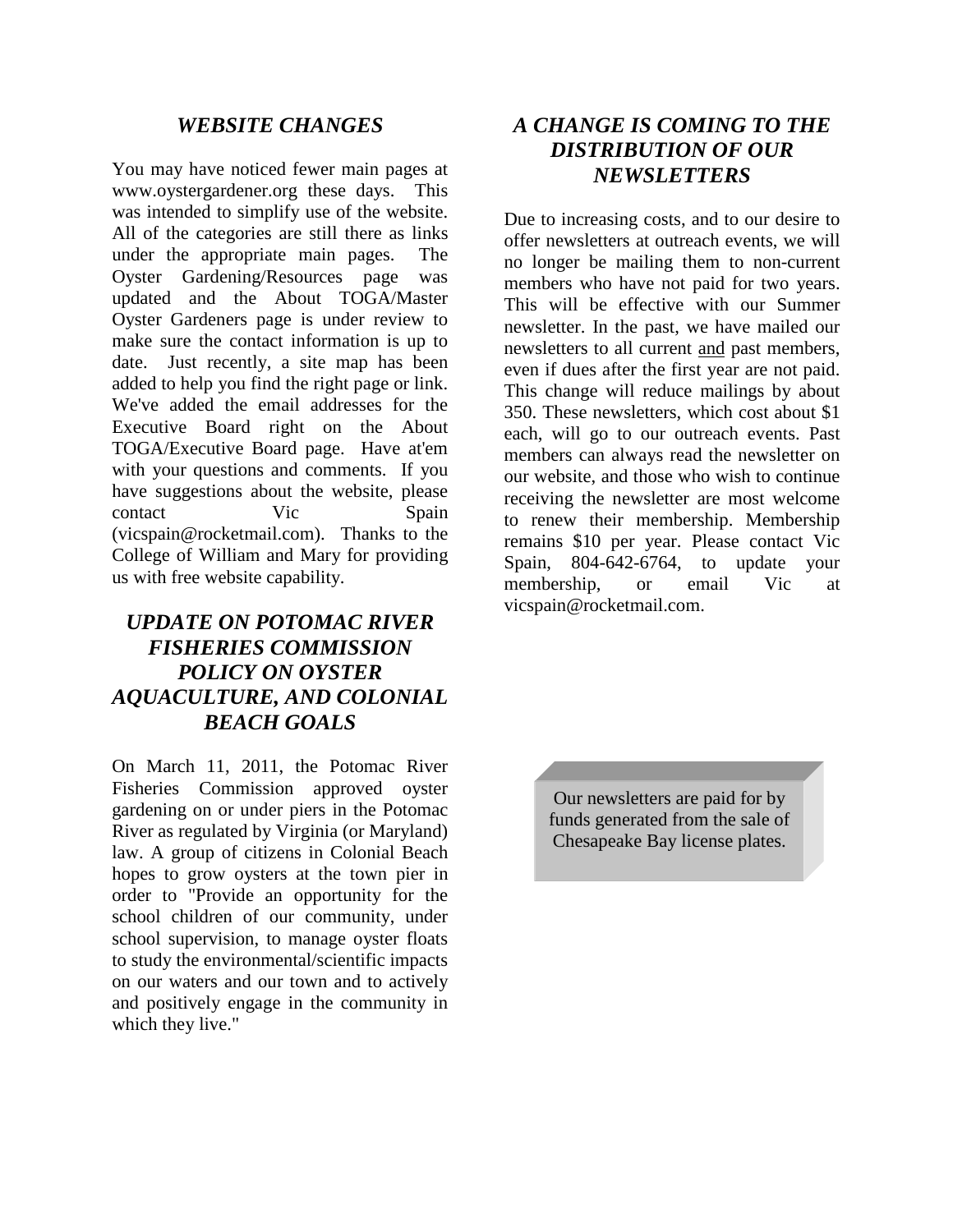#### *WEBSITE CHANGES*

You may have noticed fewer main pages at www.oystergardener.org these days. This was intended to simplify use of the website. All of the categories are still there as links under the appropriate main pages. The Oyster Gardening/Resources page was updated and the About TOGA/Master Oyster Gardeners page is under review to make sure the contact information is up to date. Just recently, a site map has been added to help you find the right page or link. We've added the email addresses for the Executive Board right on the About TOGA/Executive Board page. Have at'em with your questions and comments. If you have suggestions about the website, please contact Vic Spain (vicspain@rocketmail.com). Thanks to the College of William and Mary for providing us with free website capability.

#### *UPDATE ON POTOMAC RIVER FISHERIES COMMISSION POLICY ON OYSTER AQUACULTURE, AND COLONIAL BEACH GOALS*

On March 11, 2011, the Potomac River Fisheries Commission approved oyster gardening on or under piers in the Potomac River as regulated by Virginia (or Maryland) law. A group of citizens in Colonial Beach hopes to grow oysters at the town pier in order to "Provide an opportunity for the school children of our community, under school supervision, to manage oyster floats to study the environmental/scientific impacts on our waters and our town and to actively and positively engage in the community in which they live."

#### *A CHANGE IS COMING TO THE DISTRIBUTION OF OUR NEWSLETTERS*

Due to increasing costs, and to our desire to offer newsletters at outreach events, we will no longer be mailing them to non-current members who have not paid for two years. This will be effective with our Summer newsletter. In the past, we have mailed our newsletters to all current and past members, even if dues after the first year are not paid. This change will reduce mailings by about 350. These newsletters, which cost about \$1 each, will go to our outreach events. Past members can always read the newsletter on our website, and those who wish to continue receiving the newsletter are most welcome to renew their membership. Membership remains \$10 per year. Please contact Vic Spain, 804-642-6764, to update your membership, or email Vic at vicspain@rocketmail.com.

> Our newsletters are paid for by funds generated from the sale of Chesapeake Bay license plates.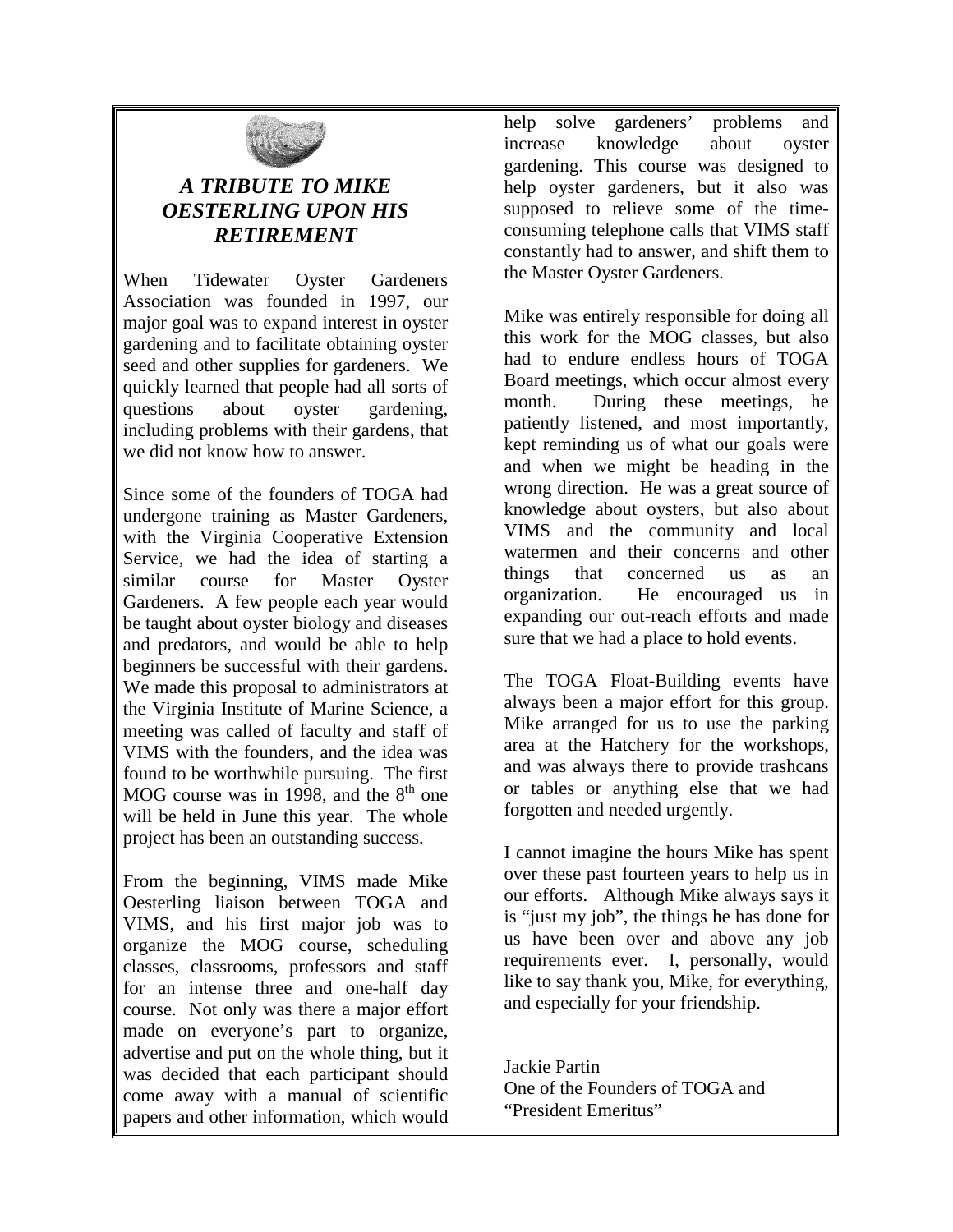

## *A TRIBUTE TO MIKE OESTERLING UPON HIS RETIREMENT*

When Tidewater Oyster Gardeners Association was founded in 1997, our major goal was to expand interest in oyster gardening and to facilitate obtaining oyster seed and other supplies for gardeners. We quickly learned that people had all sorts of questions about oyster gardening, including problems with their gardens, that we did not know how to answer.

Since some of the founders of TOGA had undergone training as Master Gardeners, with the Virginia Cooperative Extension Service, we had the idea of starting a similar course for Master Oyster Gardeners. A few people each year would be taught about oyster biology and diseases and predators, and would be able to help beginners be successful with their gardens. We made this proposal to administrators at the Virginia Institute of Marine Science, a meeting was called of faculty and staff of VIMS with the founders, and the idea was found to be worthwhile pursuing. The first MOG course was in 1998, and the  $8<sup>th</sup>$  one will be held in June this year. The whole project has been an outstanding success.

From the beginning, VIMS made Mike Oesterling liaison between TOGA and VIMS, and his first major job was to organize the MOG course, scheduling classes, classrooms, professors and staff for an intense three and one-half day course. Not only was there a major effort made on everyone's part to organize, advertise and put on the whole thing, but it was decided that each participant should come away with a manual of scientific papers and other information, which would

help solve gardeners' problems and increase knowledge about oyster gardening. This course was designed to help oyster gardeners, but it also was supposed to relieve some of the timeconsuming telephone calls that VIMS staff constantly had to answer, and shift them to the Master Oyster Gardeners.

Mike was entirely responsible for doing all this work for the MOG classes, but also had to endure endless hours of TOGA Board meetings, which occur almost every month. During these meetings, he patiently listened, and most importantly, kept reminding us of what our goals were and when we might be heading in the wrong direction. He was a great source of knowledge about oysters, but also about VIMS and the community and local watermen and their concerns and other things that concerned us as an organization. He encouraged us in expanding our out-reach efforts and made sure that we had a place to hold events.

The TOGA Float-Building events have always been a major effort for this group. Mike arranged for us to use the parking area at the Hatchery for the workshops, and was always there to provide trashcans or tables or anything else that we had forgotten and needed urgently.

I cannot imagine the hours Mike has spent over these past fourteen years to help us in our efforts. Although Mike always says it is "just my job", the things he has done for us have been over and above any job requirements ever. I, personally, would like to say thank you, Mike, for everything, and especially for your friendship.

Jackie Partin One of the Founders of TOGA and "President Emeritus"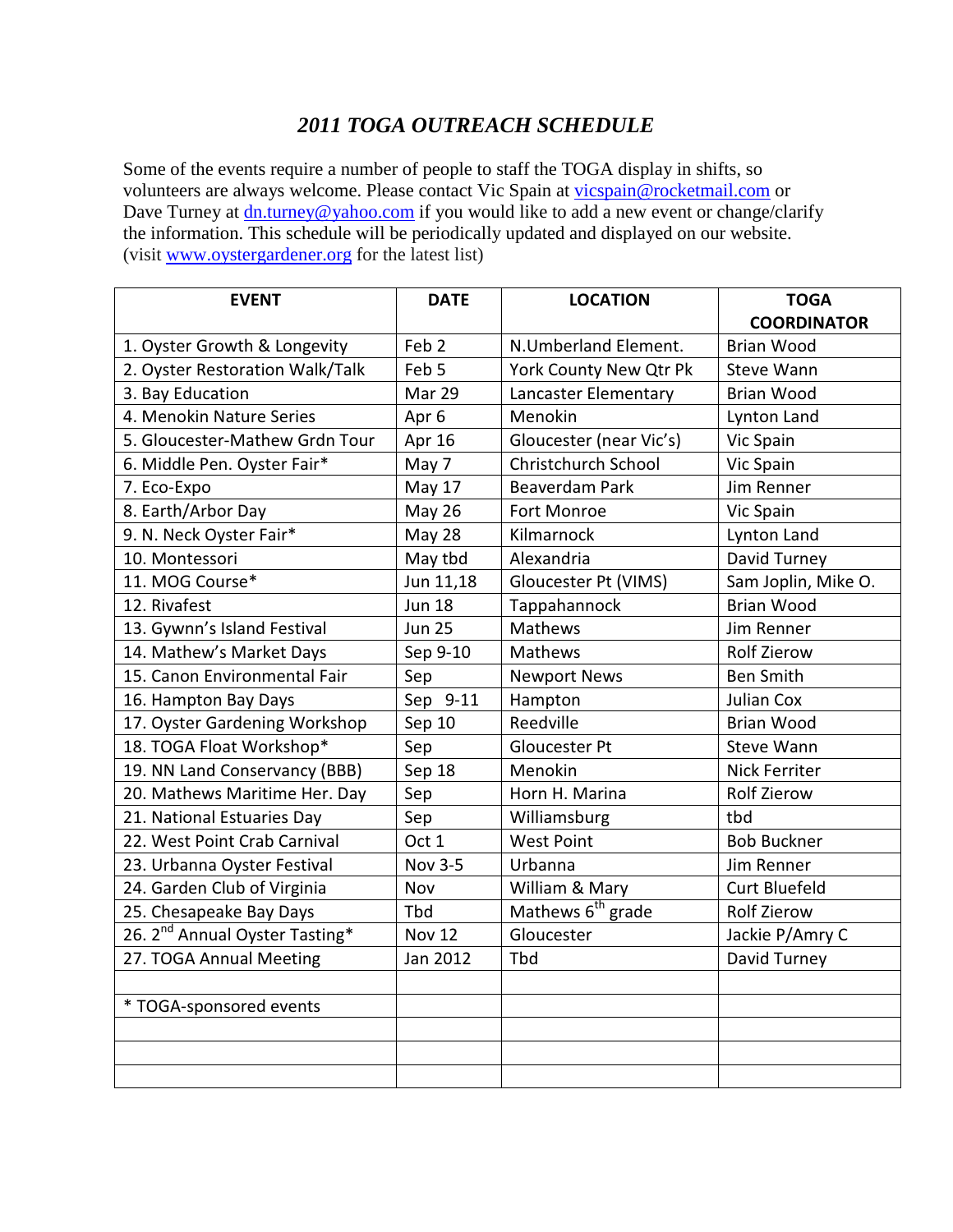#### *2011 TOGA OUTREACH SCHEDULE*

Some of the events require a number of people to staff the TOGA display in shifts, so volunteers are always welcome. Please contact Vic Spain at vicspain@rocketmail.com or Dave Turney at dn.turney@yahoo.com if you would like to add a new event or change/clarify the information. This schedule will be periodically updated and displayed on our website. (visit www.oystergardener.org for the latest list)

| <b>EVENT</b>                               | <b>DATE</b>      | <b>LOCATION</b>               | <b>TOGA</b>          |  |
|--------------------------------------------|------------------|-------------------------------|----------------------|--|
|                                            |                  |                               | <b>COORDINATOR</b>   |  |
| 1. Oyster Growth & Longevity               | Feb <sub>2</sub> | N.Umberland Element.          | <b>Brian Wood</b>    |  |
| 2. Oyster Restoration Walk/Talk            | Feb 5            | York County New Qtr Pk        | <b>Steve Wann</b>    |  |
| 3. Bay Education                           | Mar 29           | Lancaster Elementary          | <b>Brian Wood</b>    |  |
| 4. Menokin Nature Series                   | Apr 6            | Menokin                       | Lynton Land          |  |
| 5. Gloucester-Mathew Grdn Tour             | Apr 16           | Gloucester (near Vic's)       | Vic Spain            |  |
| 6. Middle Pen. Oyster Fair*                | May 7            | Christchurch School           | Vic Spain            |  |
| 7. Eco-Expo                                | May 17           | <b>Beaverdam Park</b>         | Jim Renner           |  |
| 8. Earth/Arbor Day                         | <b>May 26</b>    | <b>Fort Monroe</b>            | Vic Spain            |  |
| 9. N. Neck Oyster Fair*                    | May 28           | Kilmarnock                    | Lynton Land          |  |
| 10. Montessori                             | May tbd          | Alexandria                    | David Turney         |  |
| 11. MOG Course*                            | Jun 11,18        | Gloucester Pt (VIMS)          | Sam Joplin, Mike O.  |  |
| 12. Rivafest                               | <b>Jun 18</b>    | Tappahannock                  | <b>Brian Wood</b>    |  |
| 13. Gywnn's Island Festival                | <b>Jun 25</b>    | Mathews                       | Jim Renner           |  |
| 14. Mathew's Market Days                   | Sep 9-10         | Mathews                       | <b>Rolf Zierow</b>   |  |
| 15. Canon Environmental Fair               | Sep              | <b>Newport News</b>           | <b>Ben Smith</b>     |  |
| 16. Hampton Bay Days                       | Sep 9-11         | Hampton                       | Julian Cox           |  |
| 17. Oyster Gardening Workshop              | Sep 10           | Reedville                     | <b>Brian Wood</b>    |  |
| 18. TOGA Float Workshop*                   | Sep              | Gloucester Pt                 | <b>Steve Wann</b>    |  |
| 19. NN Land Conservancy (BBB)              | Sep 18           | Menokin                       | <b>Nick Ferriter</b> |  |
| 20. Mathews Maritime Her. Day              | Sep              | Horn H. Marina                | <b>Rolf Zierow</b>   |  |
| 21. National Estuaries Day                 | Sep              | Williamsburg                  | tbd                  |  |
| 22. West Point Crab Carnival               | Oct 1            | <b>West Point</b>             | <b>Bob Buckner</b>   |  |
| 23. Urbanna Oyster Festival                | <b>Nov 3-5</b>   | Urbanna                       | Jim Renner           |  |
| 24. Garden Club of Virginia                | Nov              | William & Mary                | <b>Curt Bluefeld</b> |  |
| 25. Chesapeake Bay Days                    | Tbd              | Mathews 6 <sup>th</sup> grade | <b>Rolf Zierow</b>   |  |
| 26. 2 <sup>nd</sup> Annual Oyster Tasting* | <b>Nov 12</b>    | Gloucester                    | Jackie P/Amry C      |  |
| 27. TOGA Annual Meeting                    | Jan 2012         | Tbd                           | David Turney         |  |
|                                            |                  |                               |                      |  |
| * TOGA-sponsored events                    |                  |                               |                      |  |
|                                            |                  |                               |                      |  |
|                                            |                  |                               |                      |  |
|                                            |                  |                               |                      |  |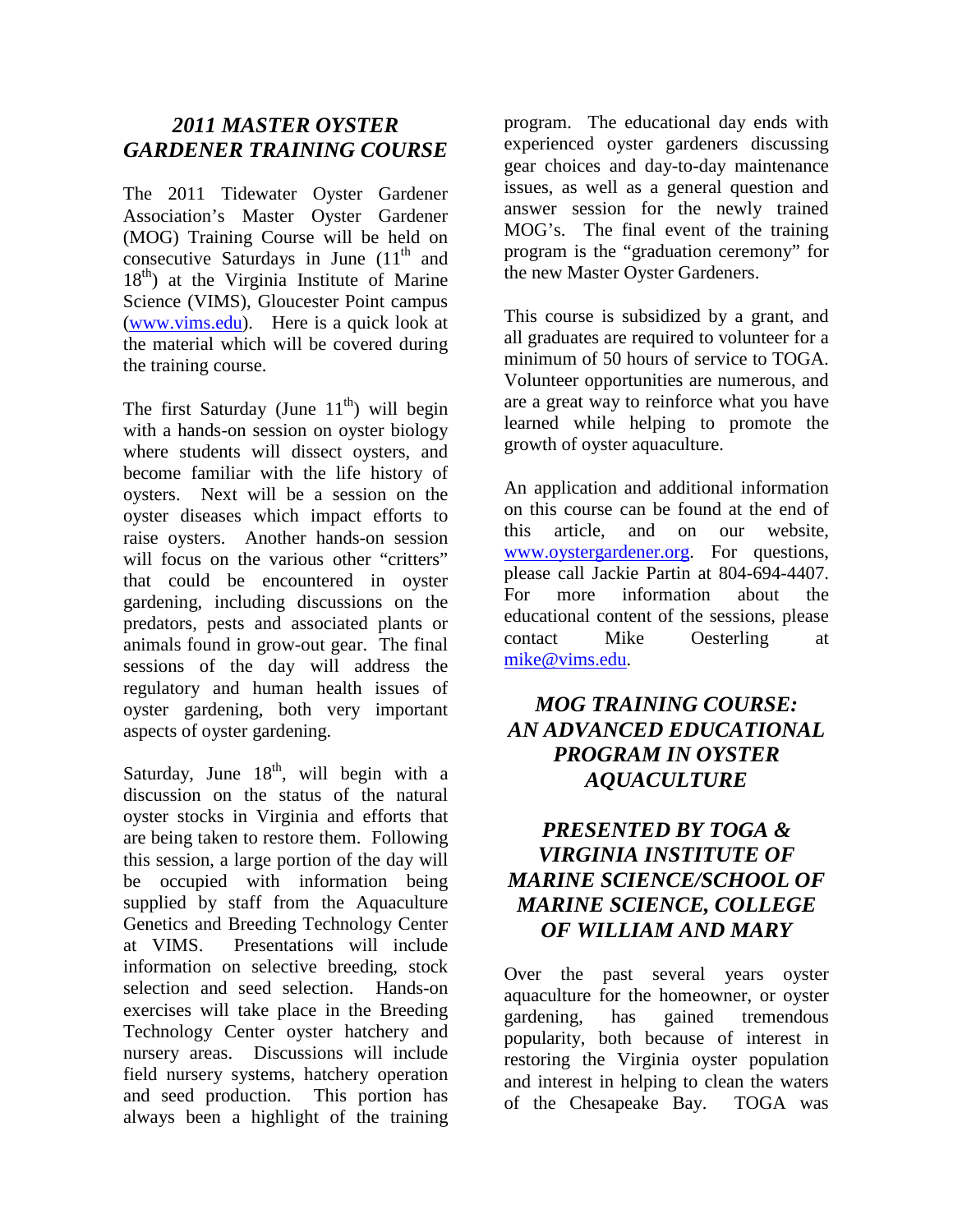#### *2011 MASTER OYSTER GARDENER TRAINING COURSE*

The 2011 Tidewater Oyster Gardener Association's Master Oyster Gardener (MOG) Training Course will be held on consecutive Saturdays in June  $(11<sup>th</sup>$  and  $18<sup>th</sup>$ ) at the Virginia Institute of Marine Science (VIMS), Gloucester Point campus (www.vims.edu). Here is a quick look at the material which will be covered during the training course.

The first Saturday (June  $11<sup>th</sup>$ ) will begin with a hands-on session on oyster biology where students will dissect oysters, and become familiar with the life history of oysters. Next will be a session on the oyster diseases which impact efforts to raise oysters. Another hands-on session will focus on the various other "critters" that could be encountered in oyster gardening, including discussions on the predators, pests and associated plants or animals found in grow-out gear. The final sessions of the day will address the regulatory and human health issues of oyster gardening, both very important aspects of oyster gardening.

Saturday, June  $18<sup>th</sup>$ , will begin with a discussion on the status of the natural oyster stocks in Virginia and efforts that are being taken to restore them. Following this session, a large portion of the day will be occupied with information being supplied by staff from the Aquaculture Genetics and Breeding Technology Center at VIMS. Presentations will include information on selective breeding, stock selection and seed selection. Hands-on exercises will take place in the Breeding Technology Center oyster hatchery and nursery areas. Discussions will include field nursery systems, hatchery operation and seed production. This portion has always been a highlight of the training

program. The educational day ends with experienced oyster gardeners discussing gear choices and day-to-day maintenance issues, as well as a general question and answer session for the newly trained MOG's. The final event of the training program is the "graduation ceremony" for the new Master Oyster Gardeners.

This course is subsidized by a grant, and all graduates are required to volunteer for a minimum of 50 hours of service to TOGA. Volunteer opportunities are numerous, and are a great way to reinforce what you have learned while helping to promote the growth of oyster aquaculture.

An application and additional information on this course can be found at the end of this article, and on our website, www.oystergardener.org. For questions, please call Jackie Partin at 804-694-4407. For more information about the educational content of the sessions, please contact Mike Oesterling at mike@vims.edu.

#### *MOG TRAINING COURSE: AN ADVANCED EDUCATIONAL PROGRAM IN OYSTER AQUACULTURE*

### *PRESENTED BY TOGA & VIRGINIA INSTITUTE OF MARINE SCIENCE/SCHOOL OF MARINE SCIENCE, COLLEGE OF WILLIAM AND MARY*

Over the past several years oyster aquaculture for the homeowner, or oyster gardening, has gained tremendous popularity, both because of interest in restoring the Virginia oyster population and interest in helping to clean the waters of the Chesapeake Bay. TOGA was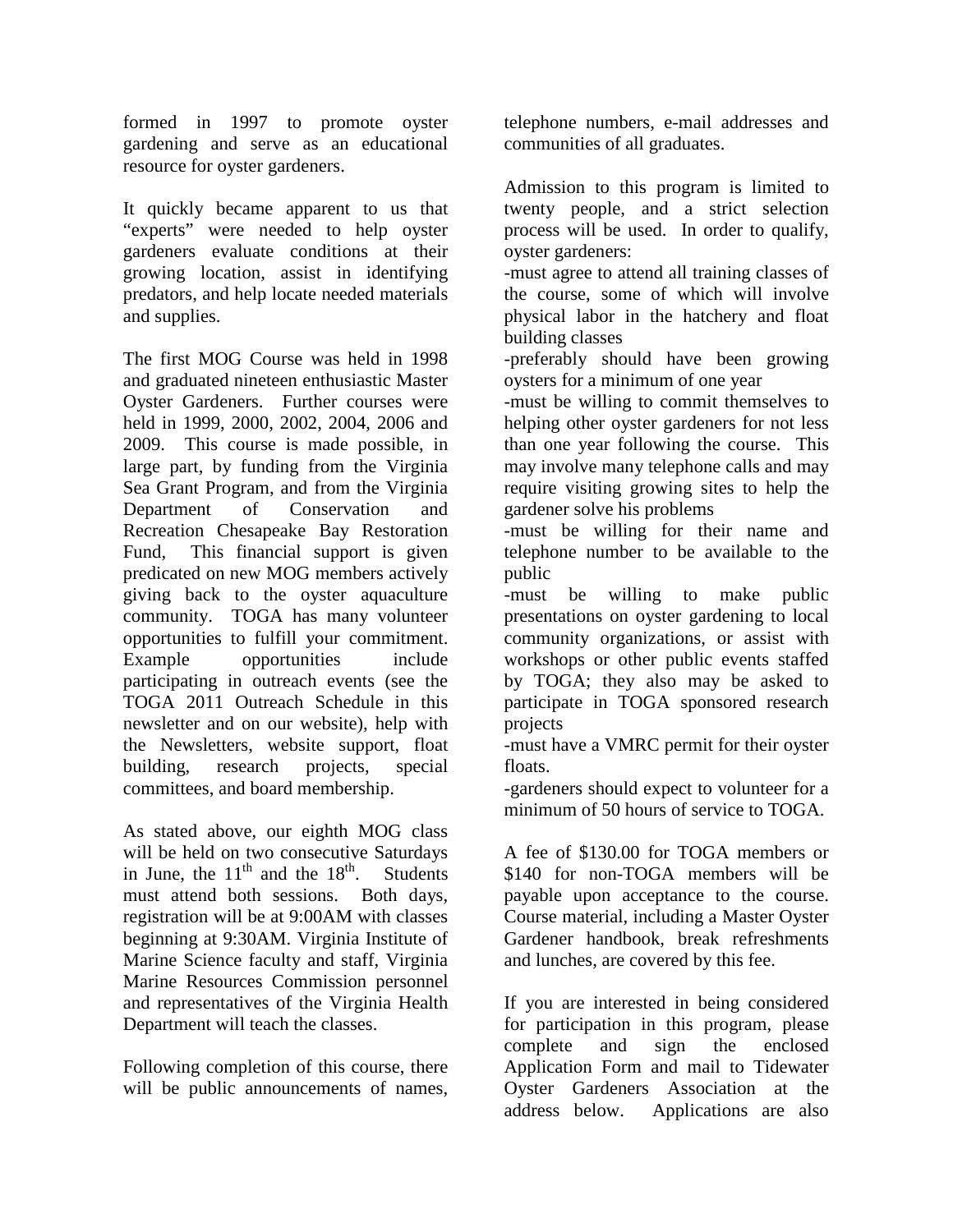formed in 1997 to promote oyster gardening and serve as an educational resource for oyster gardeners.

It quickly became apparent to us that "experts" were needed to help oyster gardeners evaluate conditions at their growing location, assist in identifying predators, and help locate needed materials and supplies.

The first MOG Course was held in 1998 and graduated nineteen enthusiastic Master Oyster Gardeners. Further courses were held in 1999, 2000, 2002, 2004, 2006 and 2009. This course is made possible, in large part, by funding from the Virginia Sea Grant Program, and from the Virginia Department of Conservation and Recreation Chesapeake Bay Restoration Fund, This financial support is given predicated on new MOG members actively giving back to the oyster aquaculture community. TOGA has many volunteer opportunities to fulfill your commitment. Example opportunities include participating in outreach events (see the TOGA 2011 Outreach Schedule in this newsletter and on our website), help with the Newsletters, website support, float building, research projects, special committees, and board membership.

As stated above, our eighth MOG class will be held on two consecutive Saturdays in June, the  $11<sup>th</sup>$  and the  $18<sup>th</sup>$ . Students must attend both sessions. Both days, registration will be at 9:00AM with classes beginning at 9:30AM. Virginia Institute of Marine Science faculty and staff, Virginia Marine Resources Commission personnel and representatives of the Virginia Health Department will teach the classes.

Following completion of this course, there will be public announcements of names, telephone numbers, e-mail addresses and communities of all graduates.

Admission to this program is limited to twenty people, and a strict selection process will be used. In order to qualify, oyster gardeners:

-must agree to attend all training classes of the course, some of which will involve physical labor in the hatchery and float building classes

-preferably should have been growing oysters for a minimum of one year

-must be willing to commit themselves to helping other oyster gardeners for not less than one year following the course. This may involve many telephone calls and may require visiting growing sites to help the gardener solve his problems

-must be willing for their name and telephone number to be available to the public

-must be willing to make public presentations on oyster gardening to local community organizations, or assist with workshops or other public events staffed by TOGA; they also may be asked to participate in TOGA sponsored research projects

-must have a VMRC permit for their oyster floats.

-gardeners should expect to volunteer for a minimum of 50 hours of service to TOGA.

A fee of \$130.00 for TOGA members or \$140 for non-TOGA members will be payable upon acceptance to the course. Course material, including a Master Oyster Gardener handbook, break refreshments and lunches, are covered by this fee.

If you are interested in being considered for participation in this program, please complete and sign the enclosed Application Form and mail to Tidewater Oyster Gardeners Association at the address below. Applications are also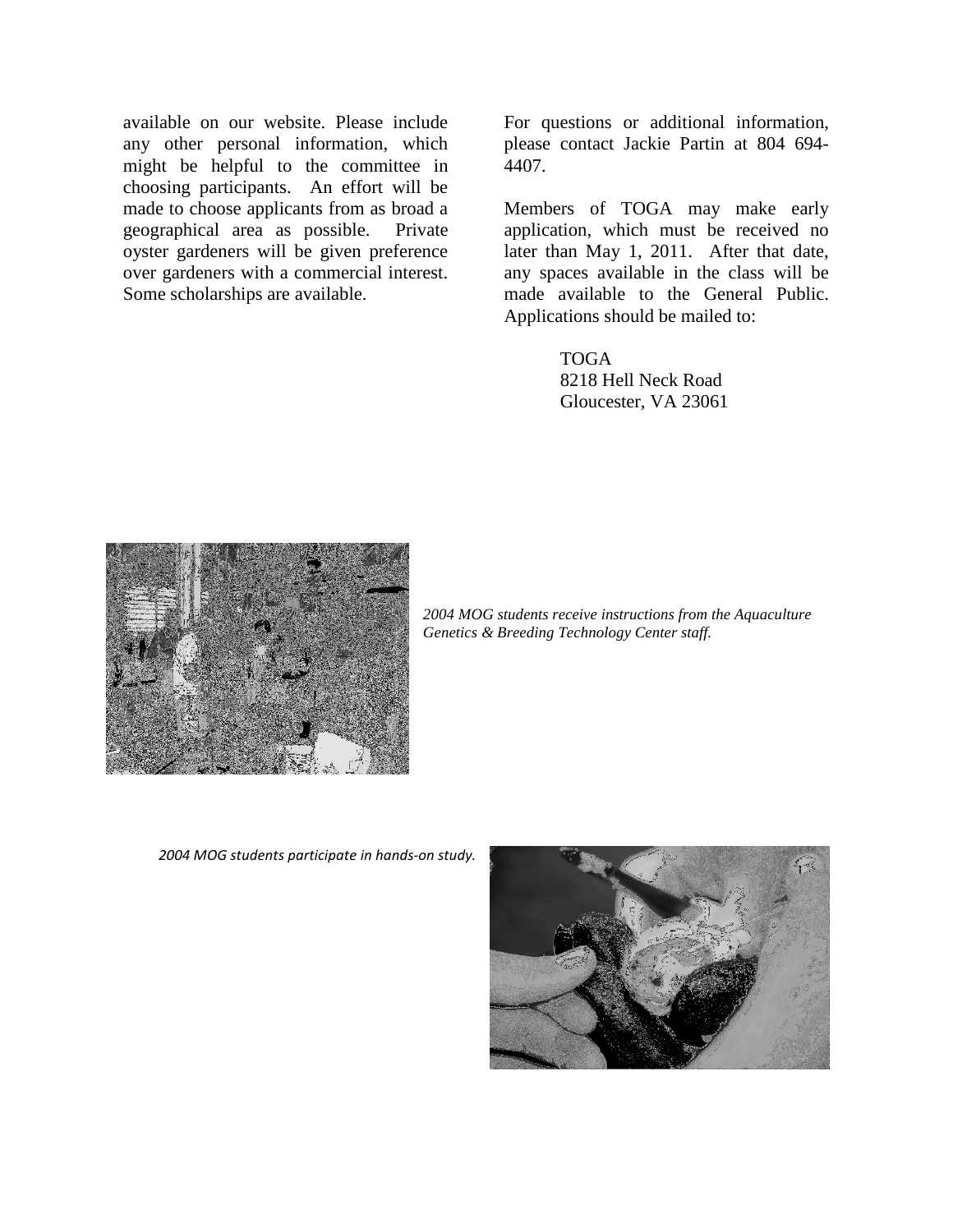available on our website. Please include any other personal information, which might be helpful to the committee in choosing participants. An effort will be made to choose applicants from as broad a geographical area as possible. Private oyster gardeners will be given preference over gardeners with a commercial interest. Some scholarships are available.

For questions or additional information, please contact Jackie Partin at 804 694- 4407.

Members of TOGA may make early application, which must be received no later than May 1, 2011. After that date, any spaces available in the class will be made available to the General Public. Applications should be mailed to:

> TOGA 8218 Hell Neck Road Gloucester, VA 23061



*2004 MOG students receive instructions from the Aquaculture Genetics & Breeding Technology Center staff.* 

2004 MOG students participate in hands-on study.